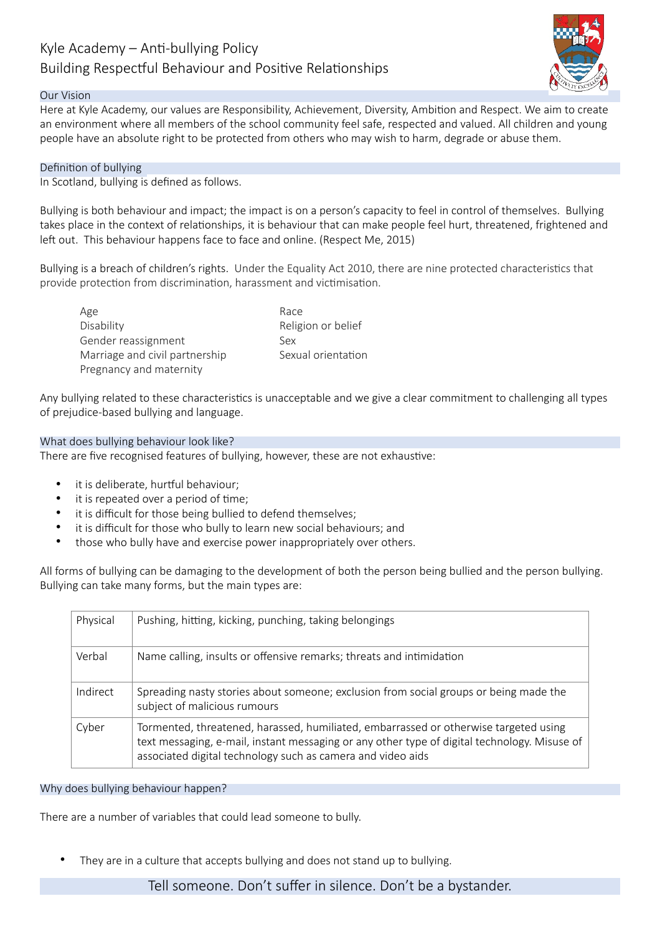# Kyle Academy  $-$  Anti-bullying Policy Building Respectful Behaviour and Positive Relationships



## Our Vision

Here at Kyle Academy, our values are Responsibility, Achievement, Diversity, Ambition and Respect. We aim to create an environment where all members of the school community feel safe, respected and valued. All children and young people have an absolute right to be protected from others who may wish to harm, degrade or abuse them.

## Definition of bullying

In Scotland, bullying is defined as follows.

Bullying is both behaviour and impact; the impact is on a person's capacity to feel in control of themselves. Bullying takes place in the context of relationships, it is behaviour that can make people feel hurt, threatened, frightened and left out. This behaviour happens face to face and online. (Respect Me, 2015)

Bullying is a breach of children's rights. Under the Equality Act 2010, there are nine protected characteristics that provide protection from discrimination, harassment and victimisation.

Age Race Disability **Disability** Religion or belief Gender reassignment Sex Marriage and civil partnership Sexual orientation Pregnancy and maternity

Any bullying related to these characteristics is unacceptable and we give a clear commitment to challenging all types of prejudice-based bullying and language.

## What does bullying behaviour look like?

There are five recognised features of bullying, however, these are not exhaustive:

- it is deliberate, hurtful behaviour;
- it is repeated over a period of time;
- it is difficult for those being bullied to defend themselves;
- it is difficult for those who bully to learn new social behaviours; and
- those who bully have and exercise power inappropriately over others.

All forms of bullying can be damaging to the development of both the person being bullied and the person bullying. Bullying can take many forms, but the main types are:

| Physical | Pushing, hitting, kicking, punching, taking belongings                                                                                                                                                                                              |
|----------|-----------------------------------------------------------------------------------------------------------------------------------------------------------------------------------------------------------------------------------------------------|
| Verbal   | Name calling, insults or offensive remarks; threats and intimidation                                                                                                                                                                                |
| Indirect | Spreading nasty stories about someone; exclusion from social groups or being made the<br>subject of malicious rumours                                                                                                                               |
| Cyber    | Tormented, threatened, harassed, humiliated, embarrassed or otherwise targeted using<br>text messaging, e-mail, instant messaging or any other type of digital technology. Misuse of<br>associated digital technology such as camera and video aids |

#### Why does bullying behaviour happen?

There are a number of variables that could lead someone to bully.

They are in a culture that accepts bullying and does not stand up to bullying.